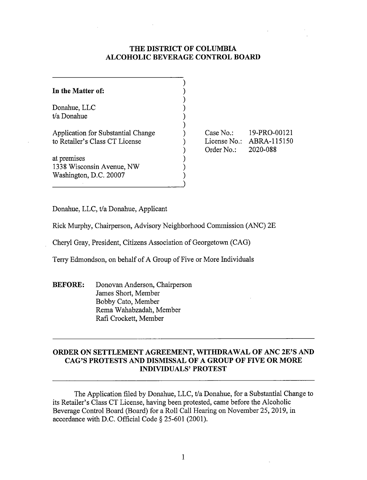## **THE DISTRICT OF COLUMBIA ALCOHOLIC BEVERAGE CONTROL BOARD**

| In the Matter of:                                                    |  |
|----------------------------------------------------------------------|--|
| Donahue, LLC<br>t/a Donahue                                          |  |
| Application for Substantial Change<br>to Retailer's Class CT License |  |
| at premises<br>1338 Wisconsin Avenue, NW<br>Washington, D.C. 20007   |  |

Case No.: 19-PRO-00121 License No.: ABRA-115150 Order No.: 2020-088

Donahue, LLC, t/a Donahue, Applicant

Rick Murphy, Chairperson, Advisory Neighborhood Commission (ANC) 2E

Cheryl Gray, President, Citizens Association of Georgetown (CAG)

Terry Edmondson, on behalf of A Group of Five or More Individuals

**BEFORE:** Donovan Anderson, Chairperson James Short, Member Bobby Cato, Member Rema Wahabzadah, Member Rafi Crockett, Member

# **ORDER ON SETTLEMENT AGREEMENT, WITHDRAWAL OF ANC 2E'S AND CAG'S PROTESTS AND DISMISSAL OF A GROUP OF FIVE OR MORE INDIVIDUALS' PROTEST**

The Application filed by Donahue, LLC, t/a Donahue, for a Substantial Change to its Retailer's Class CT License, having been protested, came before the Alcoholic Beverage Control Board (Board) for a Roll Call Hearing on November 25, 2019, in accordance with D.C. Official Code§ 25-601 (2001).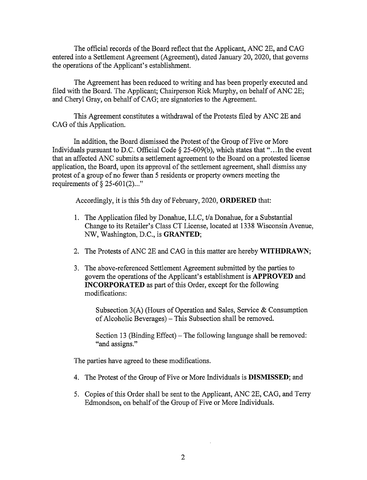The official records of the Board reflect that the Applicant, ANC 2E, and CAG entered into a Settlement Agreement (Agreement), dated January 20, 2020, that governs the operations of the Applicant's establishment.

The Agreement has been reduced to writing and has been properly executed and filed with the Board. The Applicant; Chairperson Rick Murphy, on behalf of ANC 2E; and Cheryl Gray, on behalf of CAG; are signatories to the Agreement.

This Agreement constitutes a withdrawal of the Protests filed by ANC 2E and CAG of this Application.

In addition, the Board dismissed the Protest of the Group of Five or More Individuals pursuant to D.C. Official Code  $\S$  25-609(b), which states that "... In the event that an affected ANC submits a settlement agreement to the Board on a protested license application, the Board, upon its approval of the settlement agreement, shall dismiss any protest of a group of no fewer than 5 residents or property owners meeting the requirements of  $\S 25-601(2)$ ..."

Accordingly, it is this 5th day of February, 2020, **ORDERED** that:

- 1. The Application filed by Donahue, LLC, t/a Donahue, for a Substantial Change to its Retailer's Class CT License, located at 1338 Wisconsin Avenue, NW, Washington, D.C., is **GRANTED;**
- 2. The Protests of ANC 2E and CAG in this matter are hereby **WITHDRAWN;**
- 3. The above-referenced Settlement Agreement submitted by the parties to govern the operations of the Applicant's establishment is **APPROVED** and **INCORPORATED** as part of this Order, except for the following modifications:

Subsection 3(A) (Hours of Operation and Sales, Service & Consumption of Alcoholic Beverages) – This Subsection shall be removed.

Section 13 (Binding Effect) – The following language shall be removed: "and assigns."

The parties have agreed to these modifications.

- 4. The Protest of the Group of Five or More Individuals is **DISMISSED;** and
- 5. Copies of this Order shall be sent to the Applicant, ANC 2E, CAG, and Terry Edmondson, on behalf of the Group of Five or More Individuals.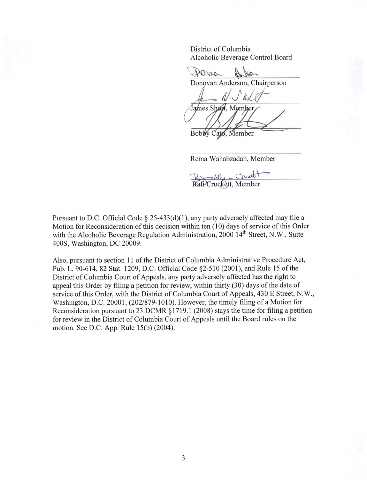District of Columbia Alcoholic Beverage Control Board

POVNe Donovan Anderson, Chairperson  $\mathcal{N}$ . James Short, Momber

Bobby Cato, Member

Rema Wahabzadah, Member

 $C_1$ Rosaly Rafi<sup>2</sup>Crockett, Member

Pursuant to D.C. Official Code § 25-433(d)(1), any party adversely affected may file a Motion for Reconsideration of this decision within ten ( 10) days of service of this Order with the Alcoholic Beverage Regulation Administration, 2000 14<sup>th</sup> Street, N.W., Suite 400S, Washington, DC 20009.

Also, pursuant to section 11 of the District of Columbia Administrative Procedure Act, Pub. L. 90-614, 82 Stat. 1209, D.C. Official Code §2-510 (2001), and Rule 15 of the District of Columbia Court of Appeals, any party adversely affected has the right to appeal this Order by filing a petition for review, within thirty (30) days of the date of service of this Order, with the District of Columbia Court of Appeals, 430 E Street, N.W., Washington, D.C. 20001; (202/879-1010). However, the timely filing of a Motion for Reconsideration pursuant to 23 DCMR § 1719 .1 (2008) stays the time for filing a petition for review in the District of Columbia Court of Appeals until the Board rules on the motion. See D.C. App. Rule 15(b) (2004).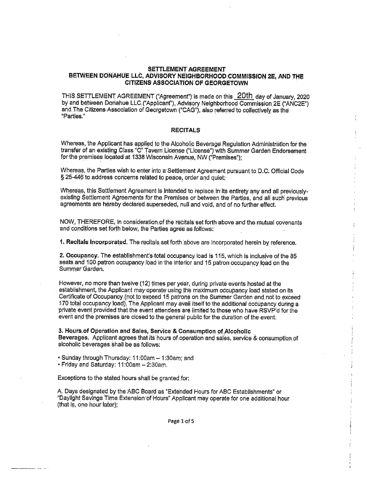#### **SETTLEMENT AGREEMENT** BETWEEN DONAHUE LLC, ADVISORY NEIGHBORHOOD COMMISSION 2E, AND THE **CITIZENS ASSOCIATION OF GEORGETOWN**

THIS SETTLEMENT AGREEMENT ("Agreement") is made on this 20th day of January, 2020 by and between Donahue LLC ("Applicant"), Advisory Neighborhood Commission 2E ("ANC2E") and The Citizens Association of Georgetown ("CAG"), also referred to collectively as the "Parties."

#### **RECITALS**

Whereas, the Applicant has applied to the Alcoholic Beverage Regulation Administration for the transfer of an existing Class "C" Tavern License ("License") with Summer Garden Endorsement<br>for the premises located at 1338 Wisconsin Avenue, NW ("Premises");

Whereas, the Parties wish to enter into a Settlement Agreement pursuant to D.C. Official Code § 25-446 to address concerns related to peace, order and quiet;

Whereas, this Settlement Agreement is intended to replace in its entirety any and all previouslyexisting Settlement Agreements for the Premises or between the Parties, and all such previous agreements are hereby declared superseded, null and void, and of no further effect.

NOW, THEREFORE, in consideration of the recitals set forth above and the mutual covenants and conditions set forth below, the Parties agree as follows:

1. Recitals incorporated. The recitals set forth above are incorporated herein by reference.

2. Occupancy. The establishment's total occupancy load is 115, which is inclusive of the 85 seats and 100 patron occupancy load in the interior and 15 patron occupancy load on the Summer Garden.

However, no more than twelve (12) times per year, during private events hosted at the establishment, the Applicant may operate using the maximum occupancy load stated on its Certificate of Occupancy (not to exceed 15 patrons on the Summer Garden and not to exceed 170 total occupancy load). The Applicant may avail itself to the additional occupancy during a private event provided that the event attendees are limited to those who have RSVP'd for the event and the premises are closed to the general public for the duration of the event.

3. Hours of Operation and Sales, Service & Consumption of Alcoholic Beverages. Applicant agrees that its hours of operation and sales, service & consumption of alcoholic beverages shall be as follows:

· Sunday through Thursday: 11:00am - 1:30am; and

· Friday and Saturday: 11:00am - 2:30am.

Exceptions to the stated hours shall be granted for:

A. Days designated by the ABC Board as "Extended Hours for ABC Establishments" or "Daylight Savings Time Extension of Hours" Applicant may operate for one additional hour (that is, one hour later);

Page 1 of 5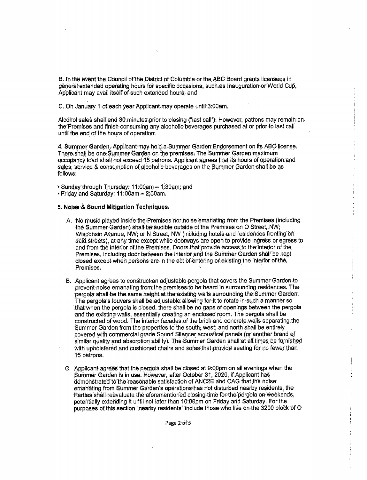B. In the event the Council of the District of Columbia or the ABC Board grants licensees in deneral extended operating hours for specific occasions, such as Inauguration or World Cup, Applicant may avail itself of such extended hours; and

C. On January 1 of each year Applicant may operate until 3:00am.

Alcohol sales shall end 30 minutes prior to closing ("last call"). However, patrons may remain on the Premises and finish consuming any alcoholic beverages purchased at or prior to last call until the end of the hours of operation.

4. Summer Garden. Applicant may hold a Summer Garden Endorsement on its ABC license. There shall be one Summer Garden on the premises. The Summer Garden maximum occupancy load shall not exceed 15 patrons. Applicant agrees that its hours of operation and sales, service & consumption of alcoholic beverages on the Summer Garden shall be as follows:

· Sunday through Thursday: 11:00am - 1:30am; and

· Friday and Saturday: 11:00am - 2:30am.

#### 5. Noise & Sound Mitigation Techniques.

- A. No music played inside the Premises nor hoise emanating from the Premises (including the Summer Garden) shall be audible outside of the Premises on O Street, NW; Wisconsin Avenue, NW; or N Street, NW (including hotels and residences fronting on said streets), at any time except while doorways are open to provide ingress or egress to and from the interior of the Premises. Doors that provide access to the interior of the Premises, including door between the interior and the Summer Garden shall be kept closed except when persons are in the act of entering or existing the interior of the Premises.
- B. Applicant agrees to construct an adjustable pergola that covers the Summer Garden to prevent noise emanating from the premises to be heard in surrounding residences. The pergola shall be the same height at the existing walls surrounding the Summer Garden. The pergola's louvers shall be adjustable allowing for it to rotate in such a manner so that when the pergola is closed, there shall be no gaps of openings between the pergola and the existing walls, essentially creating an enclosed room. The pergola shall be constructed of wood. The interior facades of the brick and concrete walls separating the Summer Garden from the properties to the south, west, and north shall be entirely covered with commercial grade Sound Silencer acoustical panels (or another brand of similar quality and absorption ability). The Summer Garden shall at all times be furnished with upholstered and cushioned chairs and sofas that provide seating for no fewer than 15 patrons.
- C. Applicant agrees that the pergola shall be closed at 9:00pm on all evenings when the Summer Garden is in use. However, after October 31, 2020, if Applicant has demonstrated to the reasonable satisfaction of ANC2E and CAG that the noise emanating from Summer Garden's operations has not disturbed nearby residents, the Parties shall reevaluate the aforementioned closing time for the pergola on weekends, potentially extending it until not later than 10:00pm on Friday and Saturday. For the purposes of this section "nearby residents" include those who live on the 3200 block of O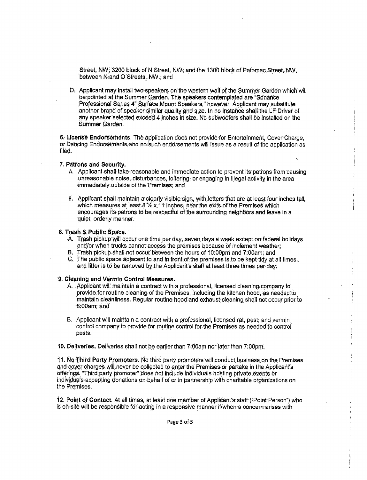Street, NW; 3200 block of N Street, NW; and the 1300 block of Potomac Street, NW, between Nand O Streets, NW.; and

D. Applicant may install two speakers on the western wall of the Summer Garden which will be pointed at the Summer Garden. The speakers contemplated are "Sonance Professional Series 4" Surface Mount Speakers," however, Applicant may substitute another brand of speaker similar quality and size. In no instance shall the LF Driver of any speaker selected exceed 4 inches in size. No subwoofers shall be installed on the Summer Garden.

6. License Endorsements. The application does not provide for Entertainment. Cover Charge. or Dancing Endorsements and no such endorsements will issue as a result of the application as filed.

#### 7. Patrons and Security.

- A. Applicant shall take reasonable and immediate action to prevent its patrons from causing unreasonable noise, disturbances, loitering, or engaging in illegal activity in the area immediately outside of the Premises; and
- B. Applicant shall maintain a clearly visible sign, with letters that are at least four inches tall, which measures at least 8 % x 11 inches, near the exits of the Premises which encourages its patrons to be respectful of the surrounding neighbors and leave in a quiet, orderly manner.

#### 8. Trash & Public Space.

- A. Trash pickup will occur one time per day, seven days a week except on federal holidays and/or when trucks cannot access the premises because of inclement weather:
- B. Trash pickup shall not occur between the hours of 10:00pm and 7:00am; and
- C. The public space adjacent to and in front of the premises is to be kept tidy at all times. and litter is to be removed by the Applicant's staff at least three times per day.

### 9. Cleaning and Vermin Control Measures.

- A. Applicant will maintain a contract with a professional, licensed cleaning company to provide for routine cleaning of the Premises, including the kitchen hood, as needed to maintain cleanliness. Regular routine hood and exhaust cleaning shall not occur prior to 8:00am; and
- B. Applicant will maintain a contract with a professional, licensed rat, pest, and vermin control company to provide for routine control for the Premises as needed to control pests.

10. Deliveries. Deliveries shall not be earlier than 7:00am nor later than 7:00pm.

11. No Third Party Promoters. No third party promoters will conduct business on the Premises and cover charges will never be collected to enter the Premises or partake in the Applicant's offerings. "Third party promoter" does not include individuals hosting private events or individuals accepting donations on behalf of or in partnership with charitable organizations on the Premises.

12. Point of Contact. At all times, at least one member of Applicant's staff ("Point Person") who is on-site will be responsible for acting in a responsive manner if/when a concern arises with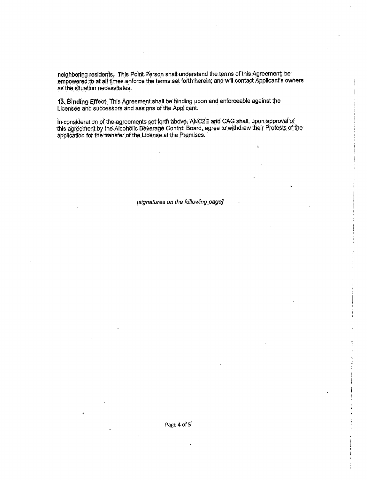neighboring residents. This Point Person shall understand the terms of this Agreement; be empowered to at all times enforce the terms set forth herein; and will contact Applicant's owners. as the situation necessitates.

13. Binding Effect. This Agreement shall be binding upon and enforceable against the Licensee and successors and assigns of the Applicant.

In consideration of the agreements set forth above, ANC2E and CAG shall, upon approval of this agreement by the Alcoholic Beverage Control Board, agree to withdraw their Protests of the application for the transfer of the License at the Premises.

 $\hat{\alpha}$ 

[signatures on the following page]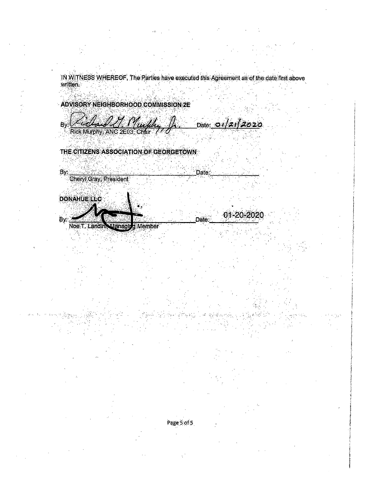IN WITNESS WHEREOF, The Parties have executed this Agreement as of the date first above<br>written

**ADVISORY NEIGHBORHOOD COMMISSION 2E** 

Date: 01/21/2020 Bv:

Rick Murphy, ANC 2E03 **Chair** 

THE CITIZENS ASSOCIATION OF GEORGETOWN

By: Cheryl Gray, President

**DONAHUELLC** 

By:

01-20-2020 Date: Noe T. Landin Manaol **Member** 

Date:

Page 5 of 5